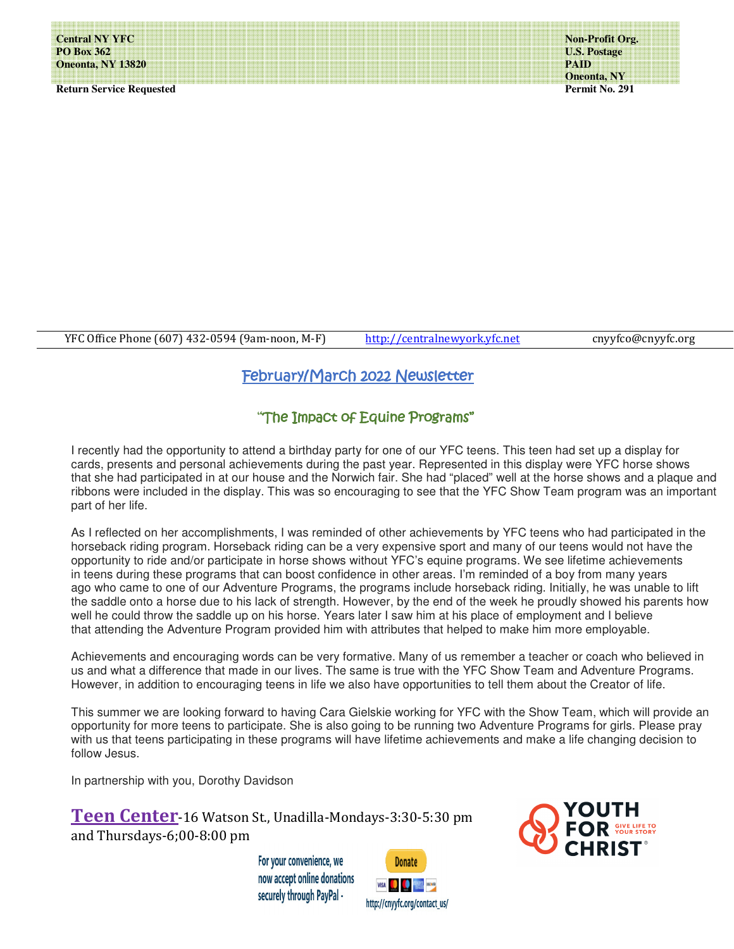Ξ

**Return Service Requested** 

**Non-Profit Org. U.S. Postage PAID Oneonta, NY Permit No. 291** 

YFC Office Phone (607) 432-0594 (9am-noon, M-F) http://centralnewyork.yfc.net cnyyfco@cnyyfc.org

# February/March 2022 Newsletter

## "The Impact of Equine Programs"

I recently had the opportunity to attend a birthday party for one of our YFC teens. This teen had set up a display for cards, presents and personal achievements during the past year. Represented in this display were YFC horse shows that she had participated in at our house and the Norwich fair. She had "placed" well at the horse shows and a plaque and ribbons were included in the display. This was so encouraging to see that the YFC Show Team program was an important part of her life.

As I reflected on her accomplishments, I was reminded of other achievements by YFC teens who had participated in the horseback riding program. Horseback riding can be a very expensive sport and many of our teens would not have the opportunity to ride and/or participate in horse shows without YFC's equine programs. We see lifetime achievements in teens during these programs that can boost confidence in other areas. I'm reminded of a boy from many years ago who came to one of our Adventure Programs, the programs include horseback riding. Initially, he was unable to lift the saddle onto a horse due to his lack of strength. However, by the end of the week he proudly showed his parents how well he could throw the saddle up on his horse. Years later I saw him at his place of employment and I believe that attending the Adventure Program provided him with attributes that helped to make him more employable.

Achievements and encouraging words can be very formative. Many of us remember a teacher or coach who believed in us and what a difference that made in our lives. The same is true with the YFC Show Team and Adventure Programs. However, in addition to encouraging teens in life we also have opportunities to tell them about the Creator of life.

This summer we are looking forward to having Cara Gielskie working for YFC with the Show Team, which will provide an opportunity for more teens to participate. She is also going to be running two Adventure Programs for girls. Please pray with us that teens participating in these programs will have lifetime achievements and make a life changing decision to follow Jesus.

In partnership with you, Dorothy Davidson

**Teen Center**-16 Watson St., Unadilla-Mondays-3:30-5:30 pm and Thursdays-6;00-8:00 pm

> For your convenience, we now accept online donations securely through PayPal -